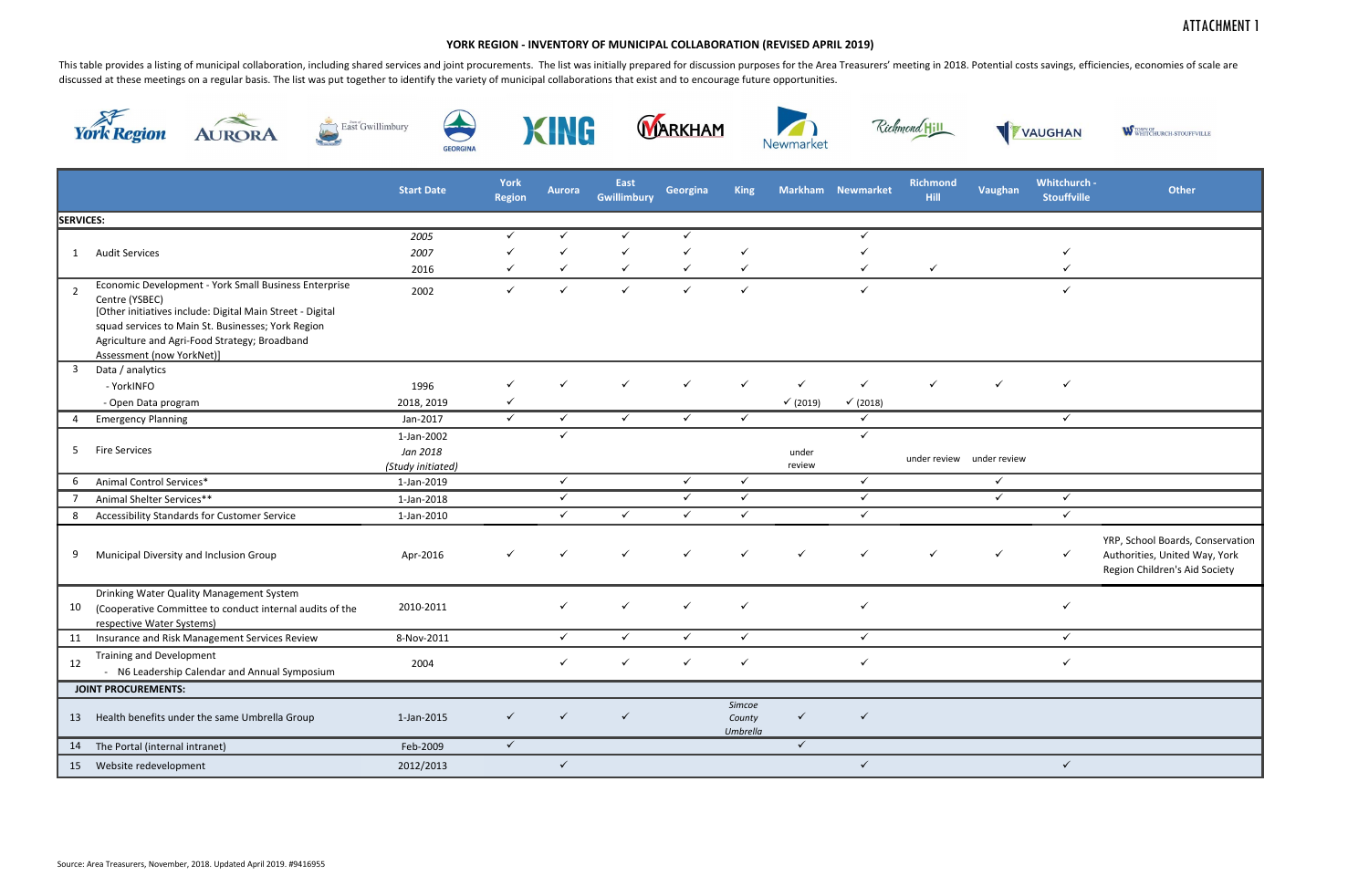## ATTACHMENT 1

| VAUGHAN |                                    | W TOWN OF WHITCHURCH-STOUFFVILLE                                                                   |  |  |  |  |  |  |  |  |
|---------|------------------------------------|----------------------------------------------------------------------------------------------------|--|--|--|--|--|--|--|--|
| ian     | Whitchurch -<br><b>Stouffville</b> | <b>Other</b>                                                                                       |  |  |  |  |  |  |  |  |
|         | $\checkmark$                       |                                                                                                    |  |  |  |  |  |  |  |  |
|         |                                    |                                                                                                    |  |  |  |  |  |  |  |  |
|         |                                    |                                                                                                    |  |  |  |  |  |  |  |  |
|         |                                    |                                                                                                    |  |  |  |  |  |  |  |  |
| view    |                                    |                                                                                                    |  |  |  |  |  |  |  |  |
|         |                                    |                                                                                                    |  |  |  |  |  |  |  |  |
|         | $\overline{\checkmark}$            |                                                                                                    |  |  |  |  |  |  |  |  |
|         |                                    | YRP, School Boards, Conservation<br>Authorities, United Way, York<br>Region Children's Aid Society |  |  |  |  |  |  |  |  |
|         |                                    |                                                                                                    |  |  |  |  |  |  |  |  |
|         |                                    |                                                                                                    |  |  |  |  |  |  |  |  |
|         |                                    |                                                                                                    |  |  |  |  |  |  |  |  |
|         |                                    |                                                                                                    |  |  |  |  |  |  |  |  |
|         |                                    |                                                                                                    |  |  |  |  |  |  |  |  |
|         |                                    |                                                                                                    |  |  |  |  |  |  |  |  |
|         | ✓                                  |                                                                                                    |  |  |  |  |  |  |  |  |

This table provides a listing of municipal collaboration, including shared services and joint procurements. The list was initially prepared for discussion purposes for the Area Treasurers' meeting in 2018. Potential costs discussed at these meetings on a regular basis. The list was put together to identify the variety of municipal collaborations that exist and to encourage future opportunities.

















|                  |                                                                                                                                                                                                                                                                          | <b>Start Date</b> | York<br><b>Region</b> | Aurora       | East<br><b>Gwillimbury</b> | Georgina     | <b>King</b>                  |              | Markham Newmarket | <b>Richmond</b><br>Hill | Vaughan                   | Whitchurch -<br><b>Stouffville</b> | Other                                                              |
|------------------|--------------------------------------------------------------------------------------------------------------------------------------------------------------------------------------------------------------------------------------------------------------------------|-------------------|-----------------------|--------------|----------------------------|--------------|------------------------------|--------------|-------------------|-------------------------|---------------------------|------------------------------------|--------------------------------------------------------------------|
| <b>SERVICES:</b> |                                                                                                                                                                                                                                                                          |                   |                       |              |                            |              |                              |              |                   |                         |                           |                                    |                                                                    |
|                  |                                                                                                                                                                                                                                                                          | 2005              | $\checkmark$          | ✓            | ✓                          | $\checkmark$ |                              |              | ✓                 |                         |                           |                                    |                                                                    |
| 1                | <b>Audit Services</b>                                                                                                                                                                                                                                                    | 2007              |                       |              | $\checkmark$               | $\checkmark$ | $\checkmark$                 |              |                   |                         |                           | $\checkmark$                       |                                                                    |
|                  |                                                                                                                                                                                                                                                                          | 2016              | ✓                     | $\checkmark$ | $\checkmark$               | $\checkmark$ | $\checkmark$                 |              | $\checkmark$      | $\checkmark$            |                           | ✓                                  |                                                                    |
| $\overline{2}$   | Economic Development - York Small Business Enterprise<br>Centre (YSBEC)<br>[Other initiatives include: Digital Main Street - Digital<br>squad services to Main St. Businesses; York Region<br>Agriculture and Agri-Food Strategy; Broadband<br>Assessment (now YorkNet)] | 2002              | $\checkmark$          | $\checkmark$ | $\checkmark$               | $\checkmark$ | $\checkmark$                 |              | $\checkmark$      |                         |                           | $\checkmark$                       |                                                                    |
| $\overline{3}$   | Data / analytics                                                                                                                                                                                                                                                         |                   |                       |              |                            |              |                              |              |                   |                         |                           |                                    |                                                                    |
|                  | - YorkINFO                                                                                                                                                                                                                                                               | 1996              |                       | $\checkmark$ | ✓                          | $\checkmark$ |                              | $\checkmark$ | $\checkmark$      | $\checkmark$            | ✓                         | $\checkmark$                       |                                                                    |
|                  | - Open Data program                                                                                                                                                                                                                                                      | 2018, 2019        | $\checkmark$          |              |                            |              |                              | √(2019)      | √(2018)           |                         |                           |                                    |                                                                    |
| 4                | <b>Emergency Planning</b>                                                                                                                                                                                                                                                | Jan-2017          | $\checkmark$          | $\checkmark$ | $\checkmark$               | $\checkmark$ | $\checkmark$                 |              | $\checkmark$      |                         |                           | $\checkmark$                       |                                                                    |
|                  |                                                                                                                                                                                                                                                                          | 1-Jan-2002        |                       | ✓            |                            |              |                              |              | ✓                 |                         |                           |                                    |                                                                    |
| 5                | <b>Fire Services</b>                                                                                                                                                                                                                                                     | Jan 2018          |                       |              |                            |              |                              | under        |                   |                         | under review under review |                                    |                                                                    |
| -6               | Animal Control Services*                                                                                                                                                                                                                                                 | (Study initiated) |                       | $\checkmark$ |                            | $\checkmark$ | $\checkmark$                 | review       | $\checkmark$      |                         | $\checkmark$              |                                    |                                                                    |
|                  |                                                                                                                                                                                                                                                                          | 1-Jan-2019        |                       | $\checkmark$ |                            | $\checkmark$ | $\checkmark$                 |              | $\checkmark$      |                         | $\checkmark$              | $\checkmark$                       |                                                                    |
| 7                | Animal Shelter Services**                                                                                                                                                                                                                                                | 1-Jan-2018        |                       |              | $\checkmark$               | $\checkmark$ | $\checkmark$                 |              | $\checkmark$      |                         |                           | $\checkmark$                       |                                                                    |
| 8                | <b>Accessibility Standards for Customer Service</b>                                                                                                                                                                                                                      | 1-Jan-2010        |                       | $\checkmark$ |                            |              |                              |              |                   |                         |                           |                                    |                                                                    |
| 9                | Municipal Diversity and Inclusion Group                                                                                                                                                                                                                                  | Apr-2016          | ✓                     | $\checkmark$ | $\checkmark$               | $\checkmark$ | $\checkmark$                 | $\checkmark$ | $\checkmark$      | $\checkmark$            | $\checkmark$              | $\checkmark$                       | YRP, School Boards,<br>Authorities, United<br>Region Children's Ai |
| 10               | Drinking Water Quality Management System<br>(Cooperative Committee to conduct internal audits of the<br>respective Water Systems)                                                                                                                                        | 2010-2011         |                       | $\checkmark$ | ✓                          | $\checkmark$ | $\checkmark$                 |              | $\checkmark$      |                         |                           | $\checkmark$                       |                                                                    |
| 11               | Insurance and Risk Management Services Review                                                                                                                                                                                                                            | 8-Nov-2011        |                       | $\checkmark$ | $\checkmark$               | $\checkmark$ | $\checkmark$                 |              | $\checkmark$      |                         |                           | $\checkmark$                       |                                                                    |
| 12               | <b>Training and Development</b><br>N6 Leadership Calendar and Annual Symposium                                                                                                                                                                                           | 2004              |                       | $\checkmark$ | ✓                          | $\checkmark$ | $\checkmark$                 |              | $\checkmark$      |                         |                           | $\checkmark$                       |                                                                    |
|                  | <b>JOINT PROCUREMENTS:</b>                                                                                                                                                                                                                                               |                   |                       |              |                            |              |                              |              |                   |                         |                           |                                    |                                                                    |
| 13               | Health benefits under the same Umbrella Group                                                                                                                                                                                                                            | 1-Jan-2015        | $\checkmark$          | $\checkmark$ | $\checkmark$               |              | Simcoe<br>County<br>Umbrella | $\checkmark$ | $\checkmark$      |                         |                           |                                    |                                                                    |
| 14               | The Portal (internal intranet)                                                                                                                                                                                                                                           | Feb-2009          | $\checkmark$          |              |                            |              |                              | $\checkmark$ |                   |                         |                           |                                    |                                                                    |
|                  |                                                                                                                                                                                                                                                                          |                   |                       |              |                            |              |                              |              |                   |                         |                           |                                    |                                                                    |

## **YORK REGION ‐ INVENTORY OF MUNICIPAL COLLABORATION (REVISED APRIL 2019)**